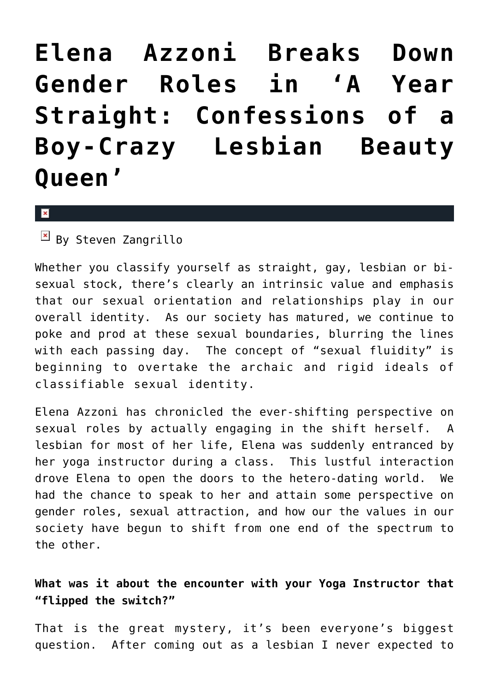**[Elena Azzoni Breaks Down](https://cupidspulse.com/23531/book-review-elena-azzoni-author-of-a-year-straight-confessions-of-a-boy-crazy-lesbian-beauty-queen-talks-about-lbgt-gay-transgender-gender-roles/) [Gender Roles in 'A Year](https://cupidspulse.com/23531/book-review-elena-azzoni-author-of-a-year-straight-confessions-of-a-boy-crazy-lesbian-beauty-queen-talks-about-lbgt-gay-transgender-gender-roles/) [Straight: Confessions of a](https://cupidspulse.com/23531/book-review-elena-azzoni-author-of-a-year-straight-confessions-of-a-boy-crazy-lesbian-beauty-queen-talks-about-lbgt-gay-transgender-gender-roles/) [Boy-Crazy Lesbian Beauty](https://cupidspulse.com/23531/book-review-elena-azzoni-author-of-a-year-straight-confessions-of-a-boy-crazy-lesbian-beauty-queen-talks-about-lbgt-gay-transgender-gender-roles/) [Queen'](https://cupidspulse.com/23531/book-review-elena-azzoni-author-of-a-year-straight-confessions-of-a-boy-crazy-lesbian-beauty-queen-talks-about-lbgt-gay-transgender-gender-roles/)**

 $\pmb{\times}$ 

 $\overline{B}$  By Steven Zangrillo

Whether you classify yourself as straight, gay, lesbian or bisexual stock, there's clearly an intrinsic value and emphasis that our sexual orientation and relationships play in our overall identity. As our society has matured, we continue to poke and prod at these sexual boundaries, blurring the lines with each passing day. The concept of "sexual fluidity" is beginning to overtake the archaic and rigid ideals of classifiable sexual identity.

Elena Azzoni has chronicled the ever-shifting perspective on sexual roles by actually engaging in the shift herself. A lesbian for most of her life, Elena was suddenly entranced by her yoga instructor during a class. This lustful interaction drove Elena to open the doors to the hetero-dating world. We had the chance to speak to her and attain some perspective on gender roles, sexual attraction, and how our the values in our society have begun to shift from one end of the spectrum to the other.

**What was it about the encounter with your Yoga Instructor that "flipped the switch?"**

That is the great mystery, it's been everyone's biggest question. After coming out as a lesbian I never expected to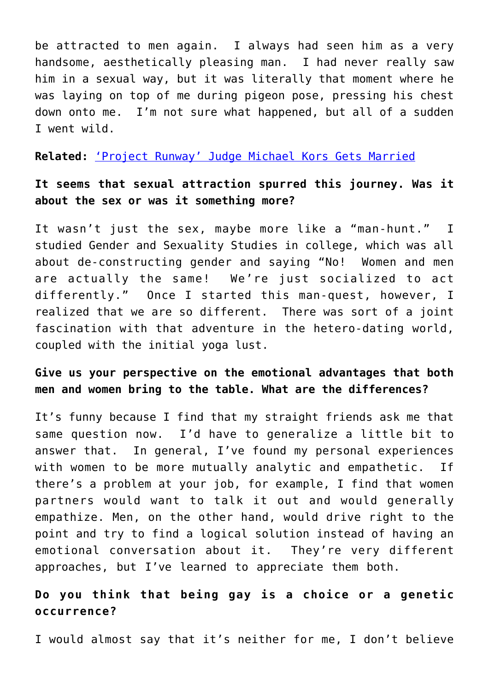be attracted to men again. I always had seen him as a very handsome, aesthetically pleasing man. I had never really saw him in a sexual way, but it was literally that moment where he was laying on top of me during pigeon pose, pressing his chest down onto me. I'm not sure what happened, but all of a sudden I went wild.

**Related:** ['Project Runway' Judge Michael Kors Gets Married](http://cupidspulse.com/project-runway-judge-michael-kors-married-lance-lepere-gay-marriage/)

### **It seems that sexual attraction spurred this journey. Was it about the sex or was it something more?**

It wasn't just the sex, maybe more like a "man-hunt." I studied Gender and Sexuality Studies in college, which was all about de-constructing gender and saying "No! Women and men are actually the same! We're just socialized to act differently." Once I started this man-quest, however, I realized that we are so different. There was sort of a joint fascination with that adventure in the hetero-dating world, coupled with the initial yoga lust.

### **Give us your perspective on the emotional advantages that both men and women bring to the table. What are the differences?**

It's funny because I find that my straight friends ask me that same question now. I'd have to generalize a little bit to answer that. In general, I've found my personal experiences with women to be more mutually analytic and empathetic. If there's a problem at your job, for example, I find that women partners would want to talk it out and would generally empathize. Men, on the other hand, would drive right to the point and try to find a logical solution instead of having an emotional conversation about it. They're very different approaches, but I've learned to appreciate them both.

## **Do you think that being gay is a choice or a genetic occurrence?**

I would almost say that it's neither for me, I don't believe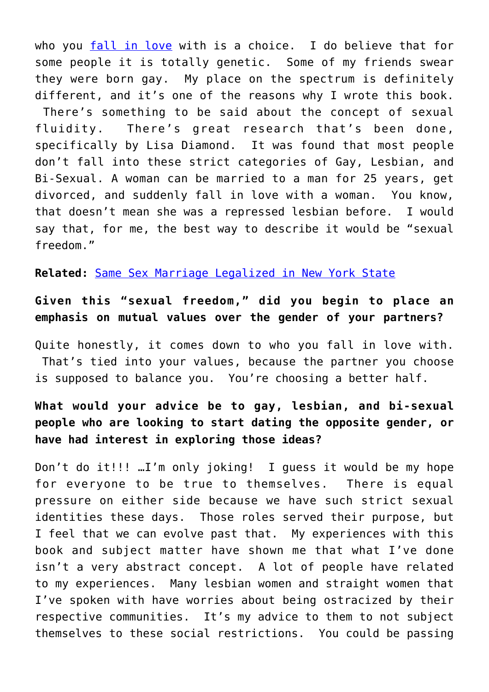who you [fall in love](http://cupidspulse.com/fran-drescher-happily-divorced-says-gay-ex-husband-is-her-best-friend/) with is a choice. I do believe that for some people it is totally genetic. Some of my friends swear they were born gay. My place on the spectrum is definitely different, and it's one of the reasons why I wrote this book. There's something to be said about the concept of sexual fluidity. There's great research that's been done, specifically by Lisa Diamond. It was found that most people don't fall into these strict categories of Gay, Lesbian, and Bi-Sexual. A woman can be married to a man for 25 years, get divorced, and suddenly fall in love with a woman. You know, that doesn't mean she was a repressed lesbian before. I would say that, for me, the best way to describe it would be "sexual freedom."

**Related:** [Same Sex Marriage Legalized in New York State](http://cupidspulse.com/same-sex-marriage-legalized-in-new-york-state/)

## **Given this "sexual freedom," did you begin to place an emphasis on mutual values over the gender of your partners?**

Quite honestly, it comes down to who you fall in love with. That's tied into your values, because the partner you choose is supposed to balance you. You're choosing a better half.

# **What would your advice be to gay, lesbian, and bi-sexual people who are looking to start dating the opposite gender, or have had interest in exploring those ideas?**

Don't do it!!! …I'm only joking! I guess it would be my hope for everyone to be true to themselves. There is equal pressure on either side because we have such strict sexual identities these days. Those roles served their purpose, but I feel that we can evolve past that. My experiences with this book and subject matter have shown me that what I've done isn't a very abstract concept. A lot of people have related to my experiences. Many lesbian women and straight women that I've spoken with have worries about being ostracized by their respective communities. It's my advice to them to not subject themselves to these social restrictions. You could be passing